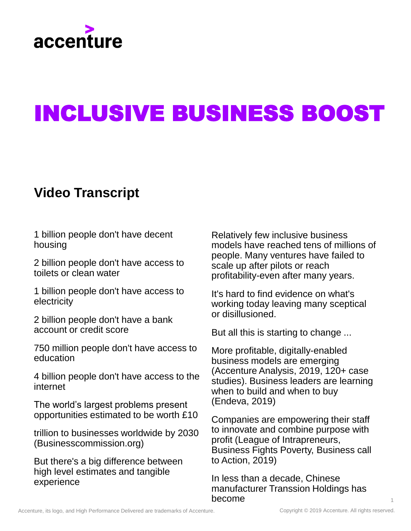

# INCLUSIVE BUSINESS BOOST

### **Video Transcript**

1 billion people don't have decent housing

2 billion people don't have access to toilets or clean water

1 billion people don't have access to electricity

2 billion people don't have a bank account or credit score

750 million people don't have access to education

4 billion people don't have access to the internet

The world's largest problems present opportunities estimated to be worth £10

trillion to businesses worldwide by 2030 (Businesscommission.org)

But there's a big difference between high level estimates and tangible experience

Relatively few inclusive business models have reached tens of millions of people. Many ventures have failed to scale up after pilots or reach profitability-even after many years.

It's hard to find evidence on what's working today leaving many sceptical or disillusioned.

But all this is starting to change ...

More profitable, digitally-enabled business models are emerging (Accenture Analysis, 2019, 120+ case studies). Business leaders are learning when to build and when to buy (Endeva, 2019)

Companies are empowering their staff to innovate and combine purpose with profit (League of Intrapreneurs, Business Fights Poverty, Business call to Action, 2019)

In less than a decade, Chinese manufacturer Transsion Holdings has become

1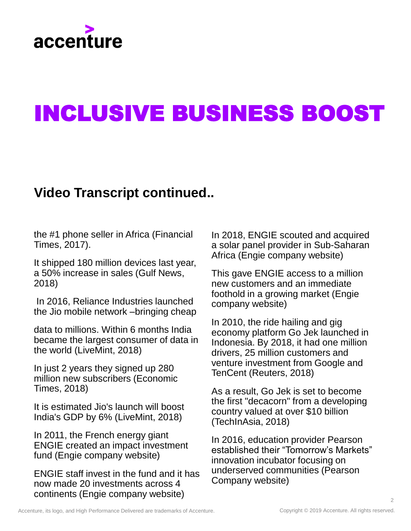

## INCLUSIVE BUSINESS BOOST

### **Video Transcript continued..**

the #1 phone seller in Africa (Financial Times, 2017).

It shipped 180 million devices last year, a 50% increase in sales (Gulf News, 2018)

In 2016, Reliance Industries launched the Jio mobile network –bringing cheap

data to millions. Within 6 months India became the largest consumer of data in the world (LiveMint, 2018)

In just 2 years they signed up 280 million new subscribers (Economic Times, 2018)

It is estimated Jio's launch will boost India's GDP by 6% (LiveMint, 2018)

In 2011, the French energy giant ENGIE created an impact investment fund (Engie company website)

ENGIE staff invest in the fund and it has now made 20 investments across 4 continents (Engie company website)

In 2018, ENGIE scouted and acquired a solar panel provider in Sub-Saharan Africa (Engie company website)

This gave ENGIE access to a million new customers and an immediate foothold in a growing market (Engie company website)

In 2010, the ride hailing and gig economy platform Go Jek launched in Indonesia. By 2018, it had one million drivers, 25 million customers and venture investment from Google and TenCent (Reuters, 2018)

As a result, Go Jek is set to become the first "decacorn" from a developing country valued at over \$10 billion (TechInAsia, 2018)

In 2016, education provider Pearson established their "Tomorrow's Markets" innovation incubator focusing on underserved communities (Pearson Company website)

 $\mathfrak{O}$